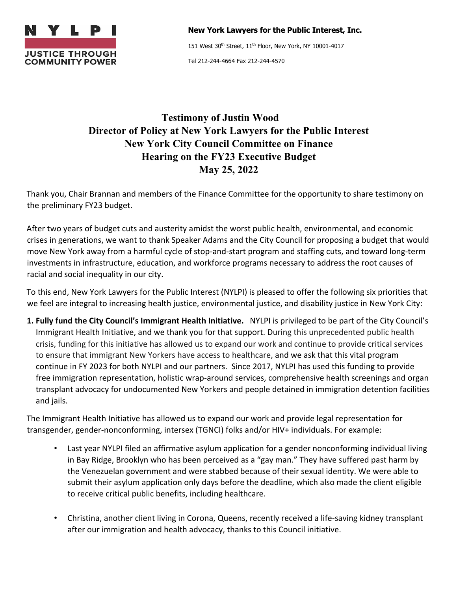

**New York Lawyers for the Public Interest, Inc.**

151 West 30<sup>th</sup> Street, 11<sup>th</sup> Floor, New York, NY 10001-4017

Tel 212-244-4664 Fax 212-244-4570

## **Testimony of Justin Wood Director of Policy at New York Lawyers for the Public Interest New York City Council Committee on Finance Hearing on the FY23 Executive Budget May 25, 2022**

Thank you, Chair Brannan and members of the Finance Committee for the opportunity to share testimony on the preliminary FY23 budget.

After two years of budget cuts and austerity amidst the worst public health, environmental, and economic crises in generations, we want to thank Speaker Adams and the City Council for proposing a budget that would move New York away from a harmful cycle of stop-and-start program and staffing cuts, and toward long-term investments in infrastructure, education, and workforce programs necessary to address the root causes of racial and social inequality in our city.

To this end, New York Lawyers for the Public Interest (NYLPI) is pleased to offer the following six priorities that we feel are integral to increasing health justice, environmental justice, and disability justice in New York City:

**1. Fully fund the City Council's Immigrant Health Initiative.** NYLPI is privileged to be part of the City Council's Immigrant Health Initiative, and we thank you for that support. During this unprecedented public health crisis, funding for this initiative has allowed us to expand our work and continue to provide critical services to ensure that immigrant New Yorkers have access to healthcare, and we ask that this vital program continue in FY 2023 for both NYLPI and our partners. Since 2017, NYLPI has used this funding to provide free immigration representation, holistic wrap-around services, comprehensive health screenings and organ transplant advocacy for undocumented New Yorkers and people detained in immigration detention facilities and jails.

The Immigrant Health Initiative has allowed us to expand our work and provide legal representation for transgender, gender-nonconforming, intersex (TGNCI) folks and/or HIV+ individuals. For example:

- Last year NYLPI filed an affirmative asylum application for a gender nonconforming individual living in Bay Ridge, Brooklyn who has been perceived as a "gay man." They have suffered past harm by the Venezuelan government and were stabbed because of their sexual identity. We were able to submit their asylum application only days before the deadline, which also made the client eligible to receive critical public benefits, including healthcare.
- Christina, another client living in Corona, Queens, recently received a life-saving kidney transplant after our immigration and health advocacy, thanks to this Council initiative.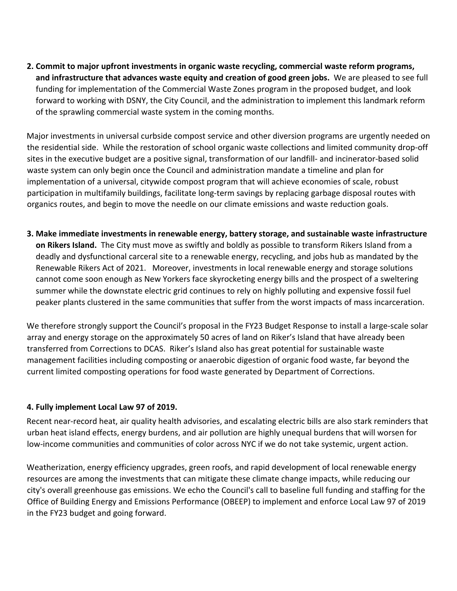**2. Commit to major upfront investments in organic waste recycling, commercial waste reform programs, and infrastructure that advances waste equity and creation of good green jobs.** We are pleased to see full funding for implementation of the Commercial Waste Zones program in the proposed budget, and look forward to working with DSNY, the City Council, and the administration to implement this landmark reform of the sprawling commercial waste system in the coming months.

Major investments in universal curbside compost service and other diversion programs are urgently needed on the residential side. While the restoration of school organic waste collections and limited community drop-off sites in the executive budget are a positive signal, transformation of our landfill- and incinerator-based solid waste system can only begin once the Council and administration mandate a timeline and plan for implementation of a universal, citywide compost program that will achieve economies of scale, robust participation in multifamily buildings, facilitate long-term savings by replacing garbage disposal routes with organics routes, and begin to move the needle on our climate emissions and waste reduction goals.

**3. Make immediate investments in renewable energy, battery storage, and sustainable waste infrastructure on Rikers Island.** The City must move as swiftly and boldly as possible to transform Rikers Island from a deadly and dysfunctional carceral site to a renewable energy, recycling, and jobs hub as mandated by the Renewable Rikers Act of 2021. Moreover, investments in local renewable energy and storage solutions cannot come soon enough as New Yorkers face skyrocketing energy bills and the prospect of a sweltering summer while the downstate electric grid continues to rely on highly polluting and expensive fossil fuel peaker plants clustered in the same communities that suffer from the worst impacts of mass incarceration.

We therefore strongly support the Council's proposal in the FY23 Budget Response to install a large-scale solar array and energy storage on the approximately 50 acres of land on Riker's Island that have already been transferred from Corrections to DCAS. Riker's Island also has great potential for sustainable waste management facilities including composting or anaerobic digestion of organic food waste, far beyond the current limited composting operations for food waste generated by Department of Corrections.

## **4. Fully implement Local Law 97 of 2019.**

Recent near-record heat, air quality health advisories, and escalating electric bills are also stark reminders that urban heat island effects, energy burdens, and air pollution are highly unequal burdens that will worsen for low-income communities and communities of color across NYC if we do not take systemic, urgent action.

Weatherization, energy efficiency upgrades, green roofs, and rapid development of local renewable energy resources are among the investments that can mitigate these climate change impacts, while reducing our city's overall greenhouse gas emissions. We echo the Council's call to baseline full funding and staffing for the Office of Building Energy and Emissions Performance (OBEEP) to implement and enforce Local Law 97 of 2019 in the FY23 budget and going forward.